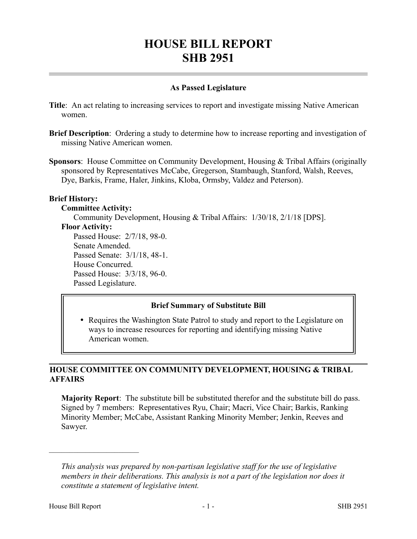# **HOUSE BILL REPORT SHB 2951**

## **As Passed Legislature**

- **Title**: An act relating to increasing services to report and investigate missing Native American women.
- **Brief Description**: Ordering a study to determine how to increase reporting and investigation of missing Native American women.
- **Sponsors**: House Committee on Community Development, Housing & Tribal Affairs (originally sponsored by Representatives McCabe, Gregerson, Stambaugh, Stanford, Walsh, Reeves, Dye, Barkis, Frame, Haler, Jinkins, Kloba, Ormsby, Valdez and Peterson).

## **Brief History:**

## **Committee Activity:**

Community Development, Housing & Tribal Affairs: 1/30/18, 2/1/18 [DPS].

## **Floor Activity:**

Passed House: 2/7/18, 98-0. Senate Amended. Passed Senate: 3/1/18, 48-1. House Concurred. Passed House: 3/3/18, 96-0. Passed Legislature.

# **Brief Summary of Substitute Bill**

• Requires the Washington State Patrol to study and report to the Legislature on ways to increase resources for reporting and identifying missing Native American women.

# **HOUSE COMMITTEE ON COMMUNITY DEVELOPMENT, HOUSING & TRIBAL AFFAIRS**

**Majority Report**: The substitute bill be substituted therefor and the substitute bill do pass. Signed by 7 members: Representatives Ryu, Chair; Macri, Vice Chair; Barkis, Ranking Minority Member; McCabe, Assistant Ranking Minority Member; Jenkin, Reeves and Sawyer.

––––––––––––––––––––––

*This analysis was prepared by non-partisan legislative staff for the use of legislative members in their deliberations. This analysis is not a part of the legislation nor does it constitute a statement of legislative intent.*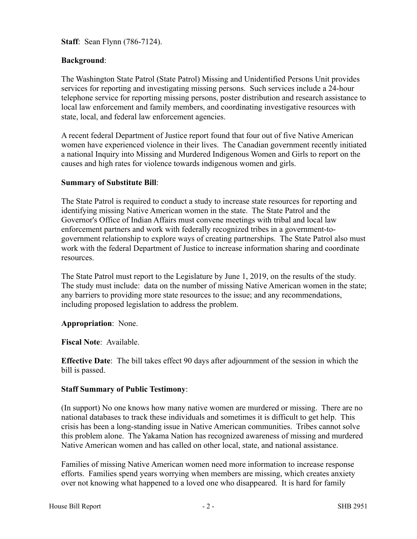**Staff**: Sean Flynn (786-7124).

## **Background**:

The Washington State Patrol (State Patrol) Missing and Unidentified Persons Unit provides services for reporting and investigating missing persons. Such services include a 24-hour telephone service for reporting missing persons, poster distribution and research assistance to local law enforcement and family members, and coordinating investigative resources with state, local, and federal law enforcement agencies.

A recent federal Department of Justice report found that four out of five Native American women have experienced violence in their lives. The Canadian government recently initiated a national Inquiry into Missing and Murdered Indigenous Women and Girls to report on the causes and high rates for violence towards indigenous women and girls.

### **Summary of Substitute Bill**:

The State Patrol is required to conduct a study to increase state resources for reporting and identifying missing Native American women in the state. The State Patrol and the Governor's Office of Indian Affairs must convene meetings with tribal and local law enforcement partners and work with federally recognized tribes in a government-togovernment relationship to explore ways of creating partnerships. The State Patrol also must work with the federal Department of Justice to increase information sharing and coordinate resources.

The State Patrol must report to the Legislature by June 1, 2019, on the results of the study. The study must include: data on the number of missing Native American women in the state; any barriers to providing more state resources to the issue; and any recommendations, including proposed legislation to address the problem.

### **Appropriation**: None.

**Fiscal Note**: Available.

**Effective Date**: The bill takes effect 90 days after adjournment of the session in which the bill is passed.

### **Staff Summary of Public Testimony**:

(In support) No one knows how many native women are murdered or missing. There are no national databases to track these individuals and sometimes it is difficult to get help. This crisis has been a long-standing issue in Native American communities. Tribes cannot solve this problem alone. The Yakama Nation has recognized awareness of missing and murdered Native American women and has called on other local, state, and national assistance.

Families of missing Native American women need more information to increase response efforts. Families spend years worrying when members are missing, which creates anxiety over not knowing what happened to a loved one who disappeared. It is hard for family